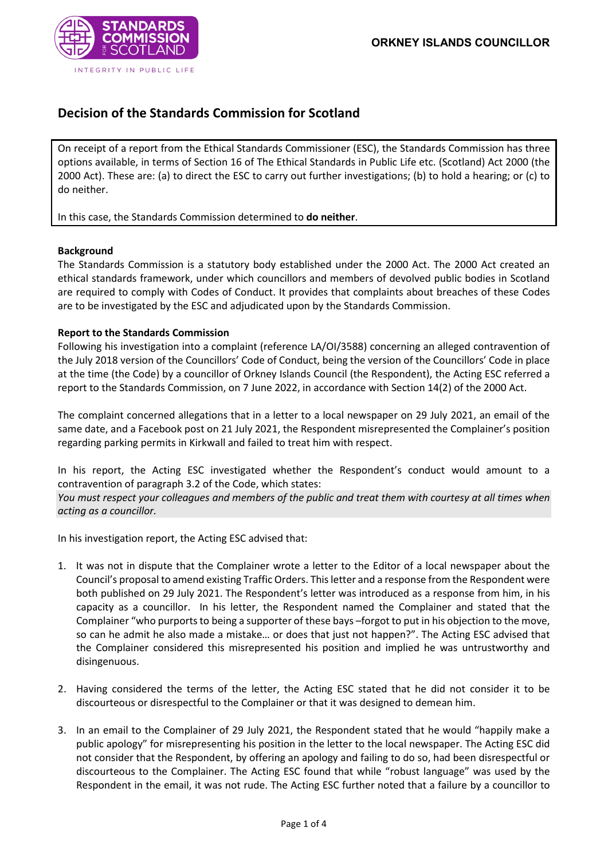

# **Decision of the Standards Commission for Scotland**

On receipt of a report from the Ethical Standards Commissioner (ESC), the Standards Commission has three options available, in terms of Section 16 of The Ethical Standards in Public Life etc. (Scotland) Act 2000 (the 2000 Act). These are: (a) to direct the ESC to carry out further investigations; (b) to hold a hearing; or (c) to do neither.

In this case, the Standards Commission determined to **do neither**.

### **Background**

The Standards Commission is a statutory body established under the 2000 Act. The 2000 Act created an ethical standards framework, under which councillors and members of devolved public bodies in Scotland are required to comply with Codes of Conduct. It provides that complaints about breaches of these Codes are to be investigated by the ESC and adjudicated upon by the Standards Commission.

## **Report to the Standards Commission**

Following his investigation into a complaint (reference LA/OI/3588) concerning an alleged contravention of the July 2018 version of the Councillors' Code of Conduct, being the version of the Councillors' Code in place at the time (the Code) by a councillor of Orkney Islands Council (the Respondent), the Acting ESC referred a report to the Standards Commission, on 7 June 2022, in accordance with Section 14(2) of the 2000 Act.

The complaint concerned allegations that in a letter to a local newspaper on 29 July 2021, an email of the same date, and a Facebook post on 21 July 2021, the Respondent misrepresented the Complainer's position regarding parking permits in Kirkwall and failed to treat him with respect.

In his report, the Acting ESC investigated whether the Respondent's conduct would amount to a contravention of paragraph 3.2 of the Code, which states:

*You must respect your colleagues and members of the public and treat them with courtesy at all times when acting as a councillor.*

In his investigation report, the Acting ESC advised that:

- 1. It was not in dispute that the Complainer wrote a letter to the Editor of a local newspaper about the Council's proposal to amend existing Traffic Orders. This letter and a response from the Respondent were both published on 29 July 2021. The Respondent's letter was introduced as a response from him, in his capacity as a councillor. In his letter, the Respondent named the Complainer and stated that the Complainer "who purports to being a supporter of these bays –forgot to put in his objection to the move, so can he admit he also made a mistake… or does that just not happen?". The Acting ESC advised that the Complainer considered this misrepresented his position and implied he was untrustworthy and disingenuous.
- 2. Having considered the terms of the letter, the Acting ESC stated that he did not consider it to be discourteous or disrespectful to the Complainer or that it was designed to demean him.
- 3. In an email to the Complainer of 29 July 2021, the Respondent stated that he would "happily make a public apology" for misrepresenting his position in the letter to the local newspaper. The Acting ESC did not consider that the Respondent, by offering an apology and failing to do so, had been disrespectful or discourteous to the Complainer. The Acting ESC found that while "robust language" was used by the Respondent in the email, it was not rude. The Acting ESC further noted that a failure by a councillor to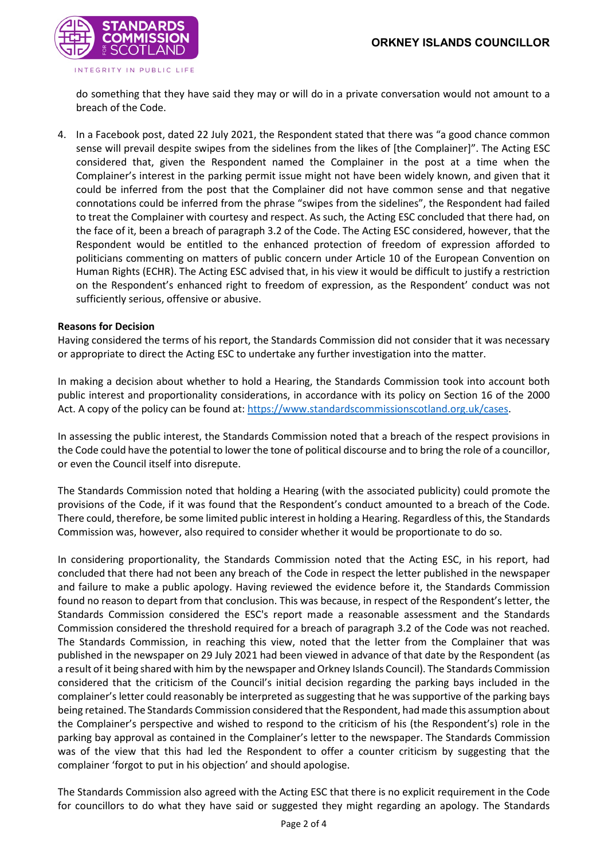

do something that they have said they may or will do in a private conversation would not amount to a breach of the Code.

4. In a Facebook post, dated 22 July 2021, the Respondent stated that there was "a good chance common sense will prevail despite swipes from the sidelines from the likes of [the Complainer]". The Acting ESC considered that, given the Respondent named the Complainer in the post at a time when the Complainer's interest in the parking permit issue might not have been widely known, and given that it could be inferred from the post that the Complainer did not have common sense and that negative connotations could be inferred from the phrase "swipes from the sidelines", the Respondent had failed to treat the Complainer with courtesy and respect. As such, the Acting ESC concluded that there had, on the face of it, been a breach of paragraph 3.2 of the Code. The Acting ESC considered, however, that the Respondent would be entitled to the enhanced protection of freedom of expression afforded to politicians commenting on matters of public concern under Article 10 of the European Convention on Human Rights (ECHR). The Acting ESC advised that, in his view it would be difficult to justify a restriction on the Respondent's enhanced right to freedom of expression, as the Respondent' conduct was not sufficiently serious, offensive or abusive.

### **Reasons for Decision**

Having considered the terms of his report, the Standards Commission did not consider that it was necessary or appropriate to direct the Acting ESC to undertake any further investigation into the matter.

In making a decision about whether to hold a Hearing, the Standards Commission took into account both public interest and proportionality considerations, in accordance with its policy on Section 16 of the 2000 Act. A copy of the policy can be found at: [https://www.standardscommissionscotland.org.uk/cases.](https://www.standardscommissionscotland.org.uk/cases)

In assessing the public interest, the Standards Commission noted that a breach of the respect provisions in the Code could have the potential to lower the tone of political discourse and to bring the role of a councillor, or even the Council itself into disrepute.

The Standards Commission noted that holding a Hearing (with the associated publicity) could promote the provisions of the Code, if it was found that the Respondent's conduct amounted to a breach of the Code. There could, therefore, be some limited public interest in holding a Hearing. Regardless of this, the Standards Commission was, however, also required to consider whether it would be proportionate to do so.

In considering proportionality, the Standards Commission noted that the Acting ESC, in his report, had concluded that there had not been any breach of the Code in respect the letter published in the newspaper and failure to make a public apology. Having reviewed the evidence before it, the Standards Commission found no reason to depart from that conclusion. This was because, in respect of the Respondent's letter, the Standards Commission considered the ESC's report made a reasonable assessment and the Standards Commission considered the threshold required for a breach of paragraph 3.2 of the Code was not reached. The Standards Commission, in reaching this view, noted that the letter from the Complainer that was published in the newspaper on 29 July 2021 had been viewed in advance of that date by the Respondent (as a result of it being shared with him by the newspaper and Orkney Islands Council). The Standards Commission considered that the criticism of the Council's initial decision regarding the parking bays included in the complainer's letter could reasonably be interpreted as suggesting that he was supportive of the parking bays being retained. The Standards Commission considered that the Respondent, had made this assumption about the Complainer's perspective and wished to respond to the criticism of his (the Respondent's) role in the parking bay approval as contained in the Complainer's letter to the newspaper. The Standards Commission was of the view that this had led the Respondent to offer a counter criticism by suggesting that the complainer 'forgot to put in his objection' and should apologise.

The Standards Commission also agreed with the Acting ESC that there is no explicit requirement in the Code for councillors to do what they have said or suggested they might regarding an apology. The Standards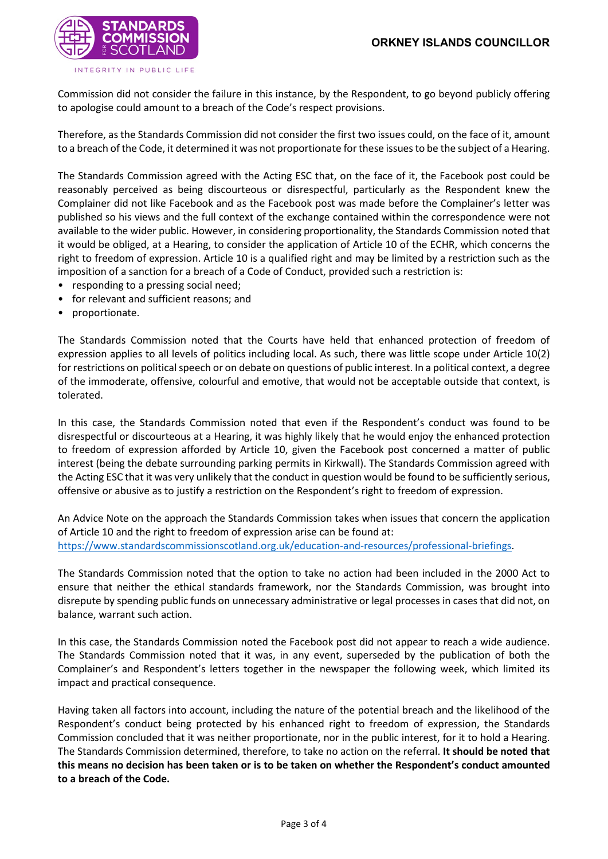

Commission did not consider the failure in this instance, by the Respondent, to go beyond publicly offering to apologise could amount to a breach of the Code's respect provisions.

Therefore, as the Standards Commission did not consider the first two issues could, on the face of it, amount to a breach of the Code, it determined it was not proportionate for these issues to be the subject of a Hearing.

The Standards Commission agreed with the Acting ESC that, on the face of it, the Facebook post could be reasonably perceived as being discourteous or disrespectful, particularly as the Respondent knew the Complainer did not like Facebook and as the Facebook post was made before the Complainer's letter was published so his views and the full context of the exchange contained within the correspondence were not available to the wider public. However, in considering proportionality, the Standards Commission noted that it would be obliged, at a Hearing, to consider the application of Article 10 of the ECHR, which concerns the right to freedom of expression. Article 10 is a qualified right and may be limited by a restriction such as the imposition of a sanction for a breach of a Code of Conduct, provided such a restriction is:

- responding to a pressing social need;
- for relevant and sufficient reasons; and
- proportionate.

The Standards Commission noted that the Courts have held that enhanced protection of freedom of expression applies to all levels of politics including local. As such, there was little scope under Article 10(2) for restrictions on political speech or on debate on questions of public interest. In a political context, a degree of the immoderate, offensive, colourful and emotive, that would not be acceptable outside that context, is tolerated.

In this case, the Standards Commission noted that even if the Respondent's conduct was found to be disrespectful or discourteous at a Hearing, it was highly likely that he would enjoy the enhanced protection to freedom of expression afforded by Article 10, given the Facebook post concerned a matter of public interest (being the debate surrounding parking permits in Kirkwall). The Standards Commission agreed with the Acting ESC that it was very unlikely that the conduct in question would be found to be sufficiently serious, offensive or abusive as to justify a restriction on the Respondent's right to freedom of expression.

An Advice Note on the approach the Standards Commission takes when issues that concern the application of Article 10 and the right to freedom of expression arise can be found at: [https://www.standardscommissionscotland.org.uk/education-and-resources/professional-briefings.](https://www.standardscommissionscotland.org.uk/education-and-resources/professional-briefings)

The Standards Commission noted that the option to take no action had been included in the 2000 Act to ensure that neither the ethical standards framework, nor the Standards Commission, was brought into disrepute by spending public funds on unnecessary administrative or legal processes in cases that did not, on balance, warrant such action.

In this case, the Standards Commission noted the Facebook post did not appear to reach a wide audience. The Standards Commission noted that it was, in any event, superseded by the publication of both the Complainer's and Respondent's letters together in the newspaper the following week, which limited its impact and practical consequence.

Having taken all factors into account, including the nature of the potential breach and the likelihood of the Respondent's conduct being protected by his enhanced right to freedom of expression, the Standards Commission concluded that it was neither proportionate, nor in the public interest, for it to hold a Hearing. The Standards Commission determined, therefore, to take no action on the referral. **It should be noted that this means no decision has been taken or is to be taken on whether the Respondent's conduct amounted to a breach of the Code.**